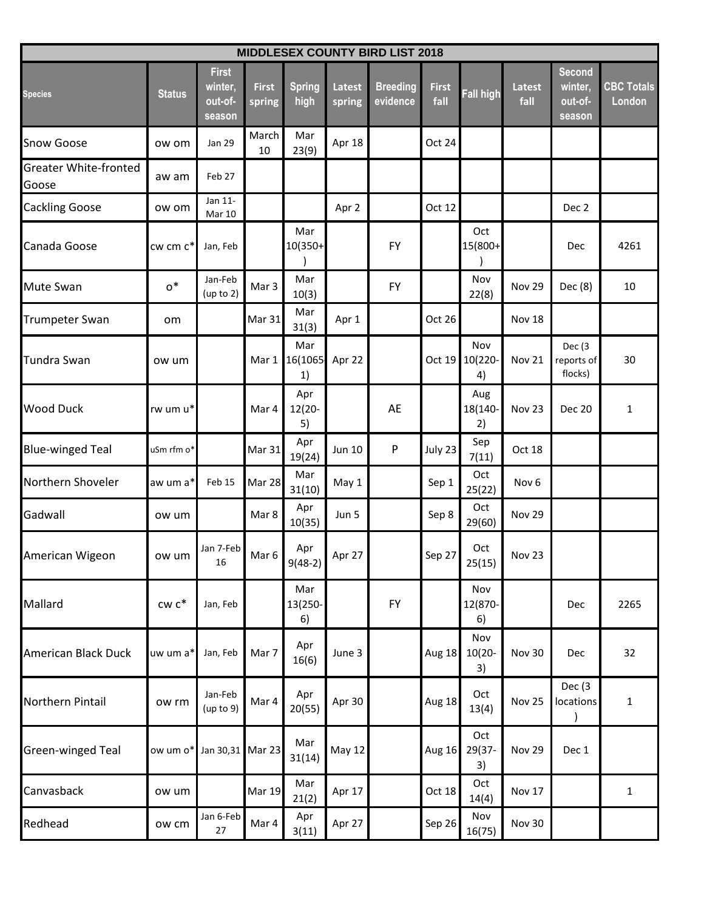| <b>MIDDLESEX COUNTY BIRD LIST 2018</b> |                             |                                              |                        |                        |                         |                             |                      |                        |                       |                                               |                             |  |
|----------------------------------------|-----------------------------|----------------------------------------------|------------------------|------------------------|-------------------------|-----------------------------|----------------------|------------------------|-----------------------|-----------------------------------------------|-----------------------------|--|
| <b>Species</b>                         | <b>Status</b>               | <b>First</b><br>winter,<br>out-of-<br>season | <b>First</b><br>spring | <b>Spring</b><br>high  | <b>Latest</b><br>spring | <b>Breeding</b><br>evidence | <b>First</b><br>fall | Fall high              | <b>Latest</b><br>fall | <b>Second</b><br>winter,<br>out-of-<br>season | <b>CBC Totals</b><br>London |  |
| <b>Snow Goose</b>                      | ow om                       | <b>Jan 29</b>                                | March<br>10            | Mar<br>23(9)           | Apr 18                  |                             | Oct 24               |                        |                       |                                               |                             |  |
| <b>Greater White-fronted</b><br>Goose  | aw am                       | Feb 27                                       |                        |                        |                         |                             |                      |                        |                       |                                               |                             |  |
| <b>Cackling Goose</b>                  | ow om                       | Jan 11-<br>Mar 10                            |                        |                        | Apr 2                   |                             | Oct 12               |                        |                       | Dec 2                                         |                             |  |
| Canada Goose                           | cw cm c*                    | Jan, Feb                                     |                        | Mar<br>10(350+         |                         | FY                          |                      | Oct<br>15(800+         |                       | Dec                                           | 4261                        |  |
| <b>Mute Swan</b>                       | $\mathtt{o}^*$              | Jan-Feb<br>(up to 2)                         | Mar 3                  | Mar<br>10(3)           |                         | <b>FY</b>                   |                      | Nov<br>22(8)           | Nov 29                | Dec (8)                                       | 10                          |  |
| <b>Trumpeter Swan</b>                  | om                          |                                              | Mar 31                 | Mar<br>31(3)           | Apr 1                   |                             | Oct 26               |                        | Nov 18                |                                               |                             |  |
| <b>Tundra Swan</b>                     | ow um                       |                                              | Mar 1                  | Mar<br>16(1065<br>1)   | Apr 22                  |                             | Oct 19               | Nov<br>10(220-<br>4)   | Nov 21                | Dec (3)<br>reports of<br>flocks)              | 30                          |  |
| <b>Wood Duck</b>                       | rw um u*                    |                                              | Mar 4                  | Apr<br>$12(20 -$<br>5) |                         | AE                          |                      | Aug<br>18(140-<br>2)   | Nov 23                | <b>Dec 20</b>                                 | 1                           |  |
| <b>Blue-winged Teal</b>                | uSm rfm o*                  |                                              | Mar 31                 | Apr<br>19(24)          | Jun 10                  | P                           | July 23              | Sep<br>7(11)           | Oct 18                |                                               |                             |  |
| Northern Shoveler                      | aw um a*                    | Feb 15                                       | Mar 28                 | Mar<br>31(10)          | May 1                   |                             | Sep 1                | Oct<br>25(22)          | Nov <sub>6</sub>      |                                               |                             |  |
| Gadwall                                | ow um                       |                                              | Mar 8                  | Apr<br>10(35)          | Jun 5                   |                             | Sep 8                | Oct<br>29(60)          | Nov 29                |                                               |                             |  |
| American Wigeon                        | ow um                       | Jan 7-Feb<br>16                              | Mar 6                  | Apr<br>$9(48-2)$       | Apr 27                  |                             | Sep 27               | Oct<br>25(15)          | <b>Nov 23</b>         |                                               |                             |  |
| Mallard                                | $\mathsf{cw}\ \mathsf{c}^*$ | Jan, Feb                                     |                        | Mar<br>13(250-<br>6)   |                         | <b>FY</b>                   |                      | Nov<br>12(870-<br>6)   |                       | Dec                                           | 2265                        |  |
| American Black Duck                    | uw um a*                    | Jan, Feb                                     | Mar 7                  | Apr<br>16(6)           | June 3                  |                             | Aug 18               | Nov<br>$10(20 -$<br>3) | <b>Nov 30</b>         | Dec                                           | 32                          |  |
| Northern Pintail                       | ow rm                       | Jan-Feb<br>(up to 9)                         | Mar 4                  | Apr<br>20(55)          | Apr 30                  |                             | Aug 18               | Oct<br>13(4)           | <b>Nov 25</b>         | Dec (3)<br>locations                          | $\mathbf{1}$                |  |
| Green-winged Teal                      | ow um o*                    | Jan 30,31                                    | Mar 23                 | Mar<br>31(14)          | May 12                  |                             | <b>Aug 16</b>        | Oct<br>29(37-<br>3)    | <b>Nov 29</b>         | Dec 1                                         |                             |  |
| Canvasback                             | ow um                       |                                              | <b>Mar 19</b>          | Mar<br>21(2)           | Apr 17                  |                             | Oct 18               | Oct<br>14(4)           | Nov 17                |                                               | $\mathbf{1}$                |  |
| Redhead                                | ow cm                       | Jan 6-Feb<br>$27\,$                          | Mar 4                  | Apr<br>3(11)           | Apr 27                  |                             | Sep 26               | Nov<br>16(75)          | Nov 30                |                                               |                             |  |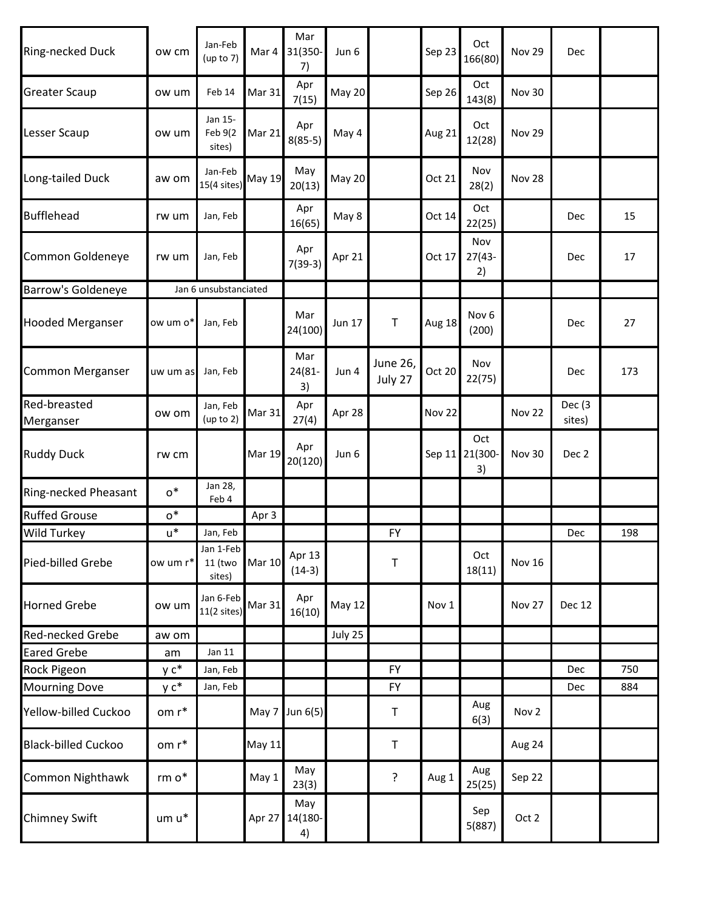| Ring-necked Duck           | ow cm             | Jan-Feb<br>(up to $7$ )        | Mar 4         | Mar<br>31(350-<br>7) | Jun 6         |                     | Sep 23 | Oct<br>166(80)            | <b>Nov 29</b> | Dec               |     |
|----------------------------|-------------------|--------------------------------|---------------|----------------------|---------------|---------------------|--------|---------------------------|---------------|-------------------|-----|
| <b>Greater Scaup</b>       | ow um             | Feb 14                         | <b>Mar 31</b> | Apr<br>7(15)         | <b>May 20</b> |                     | Sep 26 | Oct<br>143(8)             | Nov 30        |                   |     |
| Lesser Scaup               | ow um             | Jan 15-<br>Feb 9(2<br>sites)   | Mar 21        | Apr<br>$8(85-5)$     | May 4         |                     | Aug 21 | Oct<br>12(28)             | <b>Nov 29</b> |                   |     |
| Long-tailed Duck           | aw om             | Jan-Feb<br>$15(4$ sites)       | <b>May 19</b> | May<br>20(13)        | May 20        |                     | Oct 21 | Nov<br>28(2)              | Nov 28        |                   |     |
| <b>Bufflehead</b>          | rw um             | Jan, Feb                       |               | Apr<br>16(65)        | May 8         |                     | Oct 14 | Oct<br>22(25)             |               | Dec               | 15  |
| Common Goldeneye           | rw um             | Jan, Feb                       |               | Apr<br>$7(39-3)$     | Apr 21        |                     | Oct 17 | Nov<br>$27(43 -$<br>2)    |               | Dec               | 17  |
| Barrow's Goldeneye         |                   | Jan 6 unsubstanciated          |               |                      |               |                     |        |                           |               |                   |     |
| <b>Hooded Merganser</b>    | ow um o*          | Jan, Feb                       |               | Mar<br>24(100)       | Jun 17        | $\mathsf T$         | Aug 18 | Nov <sub>6</sub><br>(200) |               | Dec               | 27  |
| Common Merganser           | uw um as          | Jan, Feb                       |               | Mar<br>24(81-<br>3)  | Jun 4         | June 26,<br>July 27 | Oct 20 | Nov<br>22(75)             |               | Dec               | 173 |
| Red-breasted<br>Merganser  | ow om             | Jan, Feb<br>(up to 2)          | <b>Mar 31</b> | Apr<br>27(4)         | Apr 28        |                     | Nov 22 |                           | Nov 22        | Dec (3)<br>sites) |     |
| <b>Ruddy Duck</b>          | rw cm             |                                | <b>Mar 19</b> | Apr<br>20(120)       | Jun 6         |                     | Sep 11 | Oct<br>21(300-<br>3)      | Nov 30        | Dec 2             |     |
| Ring-necked Pheasant       | $o^*$             | Jan 28,<br>Feb 4               |               |                      |               |                     |        |                           |               |                   |     |
| <b>Ruffed Grouse</b>       | $0^*$             |                                | Apr 3         |                      |               |                     |        |                           |               |                   |     |
| Wild Turkey                | $u^*$             | Jan, Feb                       |               |                      |               | <b>FY</b>           |        |                           |               | Dec               | 198 |
| Pied-billed Grebe          | ow um r*          | Jan 1-Feb<br>11 (two<br>sites) | <b>Mar 10</b> | Apr 13<br>$(14-3)$   |               | T                   |        | Oct<br>18(11)             | <b>Nov 16</b> |                   |     |
| <b>Horned Grebe</b>        | ow um             | Jan 6-Feb<br>$11(2$ sites)     | Mar 31        | Apr<br>16(10)        | May 12        |                     | Nov 1  |                           | Nov 27        | Dec 12            |     |
| Red-necked Grebe           | aw om             |                                |               |                      | July 25       |                     |        |                           |               |                   |     |
| <b>Eared Grebe</b>         | am                | Jan 11                         |               |                      |               |                     |        |                           |               |                   |     |
| Rock Pigeon                | y c*              | Jan, Feb                       |               |                      |               | <b>FY</b>           |        |                           |               | Dec               | 750 |
| <b>Mourning Dove</b>       | $y c^*$           | Jan, Feb                       |               |                      |               | <b>FY</b>           |        |                           |               | Dec               | 884 |
| Yellow-billed Cuckoo       | om r*             |                                | May 7         | Jun 6(5)             |               | T                   |        | Aug<br>6(3)               | Nov 2         |                   |     |
| <b>Black-billed Cuckoo</b> | om r*             |                                | <b>May 11</b> |                      |               | $\mathsf T$         |        |                           | Aug 24        |                   |     |
| Common Nighthawk           | rm $\mathsf{o}^*$ |                                | May 1         | May<br>23(3)         |               | ?                   | Aug 1  | Aug<br>25(25)             | Sep 22        |                   |     |
| <b>Chimney Swift</b>       | um u*             |                                | Apr 27        | May<br>14(180-<br>4) |               |                     |        | Sep<br>5(887)             | Oct 2         |                   |     |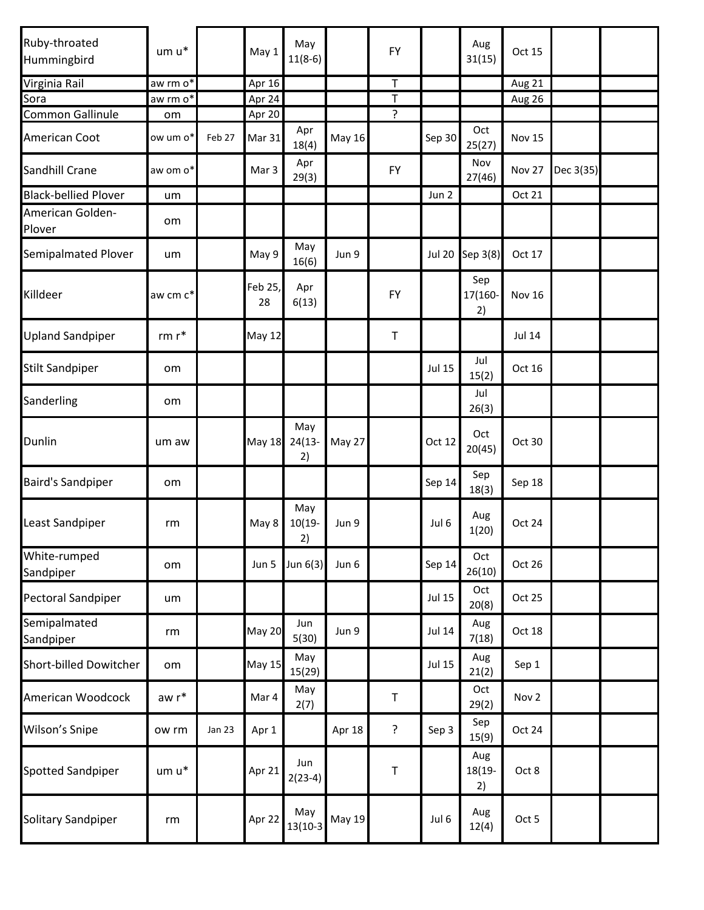| Ruby-throated<br>Hummingbird | $um u^*$                       |        | May 1         | May<br>$11(8-6)$       |        | FY        |               | Aug<br>31(15)        | Oct 15        |           |  |
|------------------------------|--------------------------------|--------|---------------|------------------------|--------|-----------|---------------|----------------------|---------------|-----------|--|
| Virginia Rail                | aw rm o*                       |        | Apr 16        |                        |        | T         |               |                      | Aug 21        |           |  |
| Sora                         | aw rm o <sup>*</sup>           |        | Apr $24$      |                        |        | T         |               |                      | Aug 26        |           |  |
| Common Gallinule             | om                             |        | Apr 20        |                        |        | ?         |               |                      |               |           |  |
| American Coot                | ow um o*                       | Feb 27 | Mar 31        | Apr<br>18(4)           | May 16 |           | Sep 30        | Oct<br>25(27)        | <b>Nov 15</b> |           |  |
| Sandhill Crane               | aw om o*                       |        | Mar 3         | Apr<br>29(3)           |        | <b>FY</b> |               | Nov<br>27(46)        | Nov 27        | Dec 3(35) |  |
| <b>Black-bellied Plover</b>  | um                             |        |               |                        |        |           | Jun 2         |                      | Oct 21        |           |  |
| American Golden-<br>Plover   | om                             |        |               |                        |        |           |               |                      |               |           |  |
| <b>Semipalmated Plover</b>   | um                             |        | May 9         | May<br>16(6)           | Jun 9  |           | <b>Jul 20</b> | Sep 3(8)             | Oct 17        |           |  |
| Killdeer                     | aw cm c*                       |        | Feb 25,<br>28 | Apr<br>6(13)           |        | <b>FY</b> |               | Sep<br>17(160-<br>2) | <b>Nov 16</b> |           |  |
| <b>Upland Sandpiper</b>      | $\mathsf{rm}\;\mathsf{r}^\ast$ |        | <b>May 12</b> |                        |        | $\top$    |               |                      | <b>Jul 14</b> |           |  |
| <b>Stilt Sandpiper</b>       | om                             |        |               |                        |        |           | <b>Jul 15</b> | Jul<br>15(2)         | Oct 16        |           |  |
| Sanderling                   | om                             |        |               |                        |        |           |               | Jul<br>26(3)         |               |           |  |
| Dunlin                       | um aw                          |        | <b>May 18</b> | May<br>$24(13 -$<br>2) | May 27 |           | Oct 12        | Oct<br>20(45)        | Oct 30        |           |  |
| <b>Baird's Sandpiper</b>     | om                             |        |               |                        |        |           | Sep 14        | Sep<br>18(3)         | Sep 18        |           |  |
| Least Sandpiper              | rm                             |        | May 8         | May<br>$10(19 -$<br>2) | Jun 9  |           | Jul 6         | Aug<br>1(20)         | Oct 24        |           |  |
| White-rumped<br>Sandpiper    | om                             |        | Jun 5         | Jun 6(3)               | Jun 6  |           | Sep 14        | Oct<br>26(10)        | Oct 26        |           |  |
| Pectoral Sandpiper           | um                             |        |               |                        |        |           | <b>Jul 15</b> | Oct<br>20(8)         | Oct 25        |           |  |
| Semipalmated<br>Sandpiper    | rm                             |        | <b>May 20</b> | Jun<br>5(30)           | Jun 9  |           | <b>Jul 14</b> | Aug<br>7(18)         | Oct 18        |           |  |
| Short-billed Dowitcher       | om                             |        | <b>May 15</b> | May<br>15(29)          |        |           | <b>Jul 15</b> | Aug<br>21(2)         | Sep 1         |           |  |
| American Woodcock            | aw r*                          |        | Mar 4         | May<br>2(7)            |        | $\top$    |               | Oct<br>29(2)         | Nov 2         |           |  |
| Wilson's Snipe               | ow rm                          | Jan 23 | Apr 1         |                        | Apr 18 | ?         | Sep 3         | Sep<br>15(9)         | Oct 24        |           |  |
| Spotted Sandpiper            | $um u^*$                       |        | Apr 21        | Jun<br>$2(23-4)$       |        | T         |               | Aug<br>18(19-<br>2)  | Oct 8         |           |  |
| Solitary Sandpiper           | rm                             |        | Apr 22        | May<br>$13(10-3)$      | May 19 |           | Jul 6         | Aug<br>12(4)         | Oct 5         |           |  |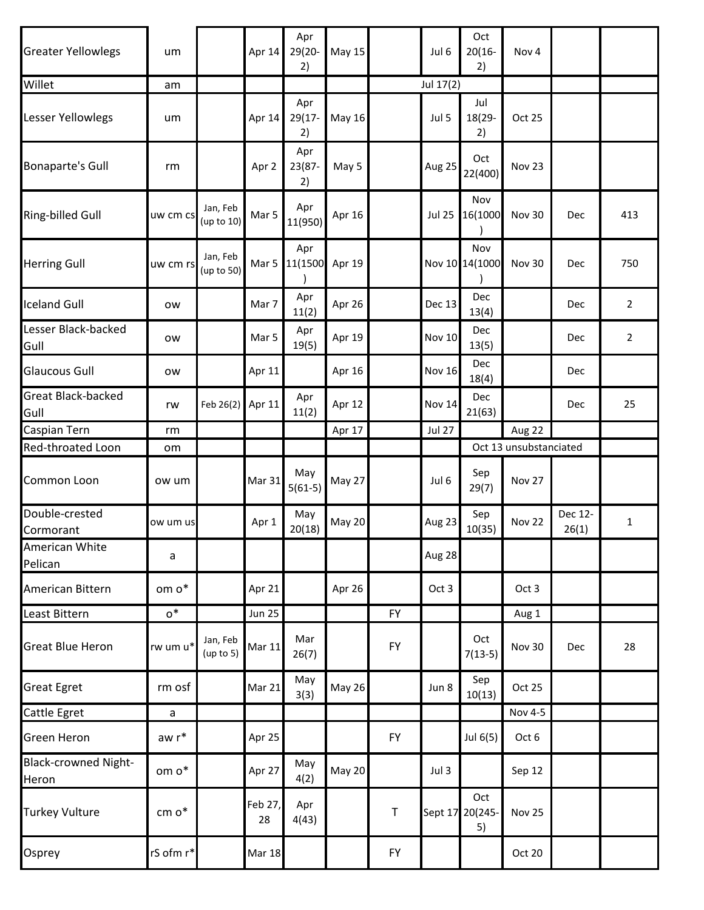| <b>Greater Yellowlegs</b>            | um                |                        | Apr 14        | Apr<br>29(20-<br>2)    | <b>May 15</b> |             | Jul 6         | Oct<br>$20(16 -$<br>2)       | Nov <sub>4</sub>       |                  |                |
|--------------------------------------|-------------------|------------------------|---------------|------------------------|---------------|-------------|---------------|------------------------------|------------------------|------------------|----------------|
| Willet                               | am                |                        |               |                        |               |             | Jul 17(2)     |                              |                        |                  |                |
| Lesser Yellowlegs                    | um                |                        | Apr 14        | Apr<br>$29(17 -$<br>2) | May 16        |             | Jul 5         | Jul<br>18(29-<br>2)          | Oct 25                 |                  |                |
| <b>Bonaparte's Gull</b>              | rm                |                        | Apr 2         | Apr<br>23(87-<br>2)    | May 5         |             | Aug 25        | Oct<br>22(400)               | Nov 23                 |                  |                |
| <b>Ring-billed Gull</b>              | uw cm cs          | Jan, Feb<br>(up to 10) | Mar 5         | Apr<br>11(950)         | Apr 16        |             | <b>Jul 25</b> | Nov<br>16(1000               | <b>Nov 30</b>          | Dec              | 413            |
| <b>Herring Gull</b>                  | uw cm rs          | Jan, Feb<br>(up to 50) |               | Apr<br>Mar 5 11(1500   | Apr 19        |             |               | Nov<br>Nov 10 14(1000        | Nov 30                 | Dec              | 750            |
| <b>Iceland Gull</b>                  | ow                |                        | Mar 7         | Apr<br>11(2)           | Apr 26        |             | <b>Dec 13</b> | Dec<br>13(4)                 |                        | Dec              | $\overline{2}$ |
| Lesser Black-backed<br>Gull          | ow                |                        | Mar 5         | Apr<br>19(5)           | Apr 19        |             | <b>Nov 10</b> | Dec<br>13(5)                 |                        | Dec              | 2              |
| <b>Glaucous Gull</b>                 | ow                |                        | Apr 11        |                        | Apr 16        |             | <b>Nov 16</b> | Dec<br>18(4)                 |                        | Dec              |                |
| <b>Great Black-backed</b><br>Gull    | rw                | Feb $26(2)$            | Apr 11        | Apr<br>11(2)           | Apr 12        |             | <b>Nov 14</b> | <b>Dec</b><br>21(63)         |                        | Dec              | 25             |
| Caspian Tern                         | rm                |                        |               |                        | Apr 17        |             | <b>Jul 27</b> |                              | Aug 22                 |                  |                |
| Red-throated Loon                    | om                |                        |               |                        |               |             |               |                              | Oct 13 unsubstanciated |                  |                |
| Common Loon                          | ow um             |                        | Mar 31        | May<br>$5(61-5)$       | May 27        |             | Jul 6         | Sep<br>29(7)                 | <b>Nov 27</b>          |                  |                |
| Double-crested<br>Cormorant          | ow um us          |                        | Apr 1         | May<br>20(18)          | <b>May 20</b> |             | Aug 23        | Sep<br>10(35)                | Nov 22                 | Dec 12-<br>26(1) | 1              |
| American White<br>Pelican            | a                 |                        |               |                        |               |             | Aug 28        |                              |                        |                  |                |
| American Bittern                     | om $\mathsf{o}^*$ |                        | Apr 21        |                        | Apr 26        |             | Oct 3         |                              | Oct 3                  |                  |                |
| Least Bittern                        | $o^*$             |                        | <b>Jun 25</b> |                        |               | <b>FY</b>   |               |                              | Aug 1                  |                  |                |
| <b>Great Blue Heron</b>              | rw um u*          | Jan, Feb<br>(up to 5)  | <b>Mar 11</b> | Mar<br>26(7)           |               | <b>FY</b>   |               | Oct<br>$7(13-5)$             | Nov 30                 | Dec              | 28             |
| <b>Great Egret</b>                   | rm osf            |                        | Mar 21        | May<br>3(3)            | <b>May 26</b> |             | Jun 8         | Sep<br>10(13)                | Oct 25                 |                  |                |
| Cattle Egret                         | a                 |                        |               |                        |               |             |               |                              | Nov 4-5                |                  |                |
| <b>Green Heron</b>                   | aw $\mathsf{r}^*$ |                        | Apr 25        |                        |               | <b>FY</b>   |               | Jul 6(5)                     | Oct 6                  |                  |                |
| <b>Black-crowned Night-</b><br>Heron | om $\mathsf{o}^*$ |                        | Apr 27        | May<br>4(2)            | <b>May 20</b> |             | Jul 3         |                              | Sep 12                 |                  |                |
| <b>Turkey Vulture</b>                | cm $\mathsf{o}^*$ |                        | Feb 27,<br>28 | Apr<br>4(43)           |               | $\mathsf T$ |               | Oct<br>Sept 17 20(245-<br>5) | Nov 25                 |                  |                |
| Osprey                               | rS ofm r*         |                        | <b>Mar 18</b> |                        |               | <b>FY</b>   |               |                              | Oct 20                 |                  |                |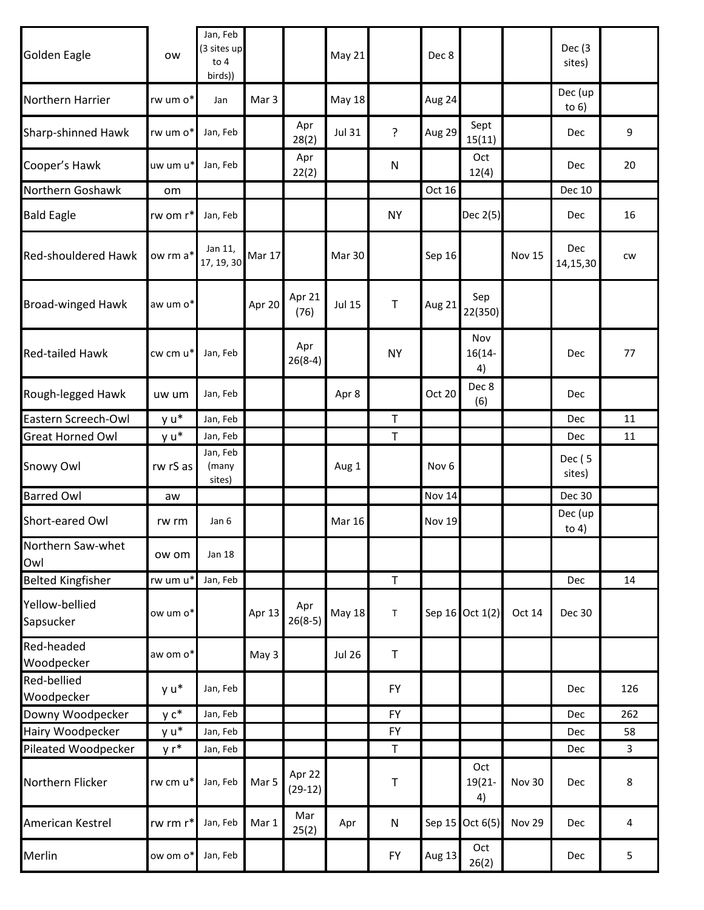| <b>Golden Eagle</b>         | <b>OW</b> | Jan, Feb<br>(3 sites up<br>to $4$<br>birds)) |        |                     | May 21        |              | Dec 8            |                        |               | Dec (3<br>sites)   |     |
|-----------------------------|-----------|----------------------------------------------|--------|---------------------|---------------|--------------|------------------|------------------------|---------------|--------------------|-----|
| Northern Harrier            | rw um o*  | Jan                                          | Mar 3  |                     | <b>May 18</b> |              | Aug 24           |                        |               | Dec (up<br>to $6)$ |     |
| <b>Sharp-shinned Hawk</b>   | rw um o*  | Jan, Feb                                     |        | Apr<br>28(2)        | <b>Jul 31</b> | ?            | Aug 29           | Sept<br>15(11)         |               | Dec                | 9   |
| Cooper's Hawk               | uw um u*  | Jan, Feb                                     |        | Apr<br>22(2)        |               | N            |                  | Oct<br>12(4)           |               | Dec                | 20  |
| Northern Goshawk            | om        |                                              |        |                     |               |              | Oct 16           |                        |               | <b>Dec 10</b>      |     |
| <b>Bald Eagle</b>           | rw om r*  | Jan, Feb                                     |        |                     |               | <b>NY</b>    |                  | Dec 2(5)               |               | Dec                | 16  |
| <b>Red-shouldered Hawk</b>  | ow rm a*  | Jan 11,<br>17, 19, 30                        | Mar 17 |                     | Mar 30        |              | Sep 16           |                        | <b>Nov 15</b> | Dec<br>14,15,30    | CW  |
| <b>Broad-winged Hawk</b>    | aw um o*  |                                              | Apr 20 | Apr 21<br>(76)      | <b>Jul 15</b> | $\top$       | Aug 21           | Sep<br>22(350)         |               |                    |     |
| <b>Red-tailed Hawk</b>      | cw cm u*  | Jan, Feb                                     |        | Apr<br>$26(8-4)$    |               | <b>NY</b>    |                  | Nov<br>$16(14 -$<br>4) |               | Dec                | 77  |
| Rough-legged Hawk           | uw um     | Jan, Feb                                     |        |                     | Apr 8         |              | Oct 20           | Dec 8<br>(6)           |               | Dec                |     |
| Eastern Screech-Owl         | y u*      | Jan, Feb                                     |        |                     |               | $\top$       |                  |                        |               | Dec                | 11  |
| <b>Great Horned Owl</b>     | y u*      | Jan, Feb                                     |        |                     |               | $\mathsf T$  |                  |                        |               | Dec                | 11  |
| Snowy Owl                   | rw rS as  | Jan, Feb<br>(many<br>sites)                  |        |                     | Aug 1         |              | Nov <sub>6</sub> |                        |               | Dec (5<br>sites)   |     |
| <b>Barred Owl</b>           | aw        |                                              |        |                     |               |              | <b>Nov 14</b>    |                        |               | <b>Dec 30</b>      |     |
| Short-eared Owl             | rw rm     | Jan 6                                        |        |                     | <b>Mar 16</b> |              | <b>Nov 19</b>    |                        |               | Dec (up<br>to $4)$ |     |
| Northern Saw-whet<br>Owl    | ow om     | <b>Jan 18</b>                                |        |                     |               |              |                  |                        |               |                    |     |
| <b>Belted Kingfisher</b>    | rw um u*  | Jan, Feb                                     |        |                     |               | $\mathsf T$  |                  |                        |               | Dec                | 14  |
| Yellow-bellied<br>Sapsucker | ow um o*  |                                              | Apr 13 | Apr<br>$26(8-5)$    | <b>May 18</b> | T            |                  | Sep 16 Oct 1(2)        | Oct 14        | Dec 30             |     |
| Red-headed<br>Woodpecker    | aw om o*  |                                              | May 3  |                     | <b>Jul 26</b> | $\mathsf{T}$ |                  |                        |               |                    |     |
| Red-bellied<br>Woodpecker   | y u*      | Jan, Feb                                     |        |                     |               | <b>FY</b>    |                  |                        |               | Dec                | 126 |
| Downy Woodpecker            | $y c^*$   | Jan, Feb                                     |        |                     |               | <b>FY</b>    |                  |                        |               | Dec                | 262 |
| Hairy Woodpecker            | y u*      | Jan, Feb                                     |        |                     |               | <b>FY</b>    |                  |                        |               | Dec                | 58  |
| Pileated Woodpecker         | y r*      | Jan, Feb                                     |        |                     |               | $\mathsf T$  |                  |                        |               | Dec                | 3   |
| Northern Flicker            | rw cm u*  | Jan, Feb                                     | Mar 5  | Apr 22<br>$(29-12)$ |               | Τ            |                  | Oct<br>19(21-<br>4)    | Nov 30        | Dec                | 8   |
| American Kestrel            | rw rm r*  | Jan, Feb                                     | Mar 1  | Mar<br>25(2)        | Apr           | N            | Sep 15           | Oct $6(5)$             | <b>Nov 29</b> | Dec                | 4   |
| Merlin                      | ow om o*  | Jan, Feb                                     |        |                     |               | <b>FY</b>    | Aug 13           | Oct<br>26(2)           |               | Dec                | 5   |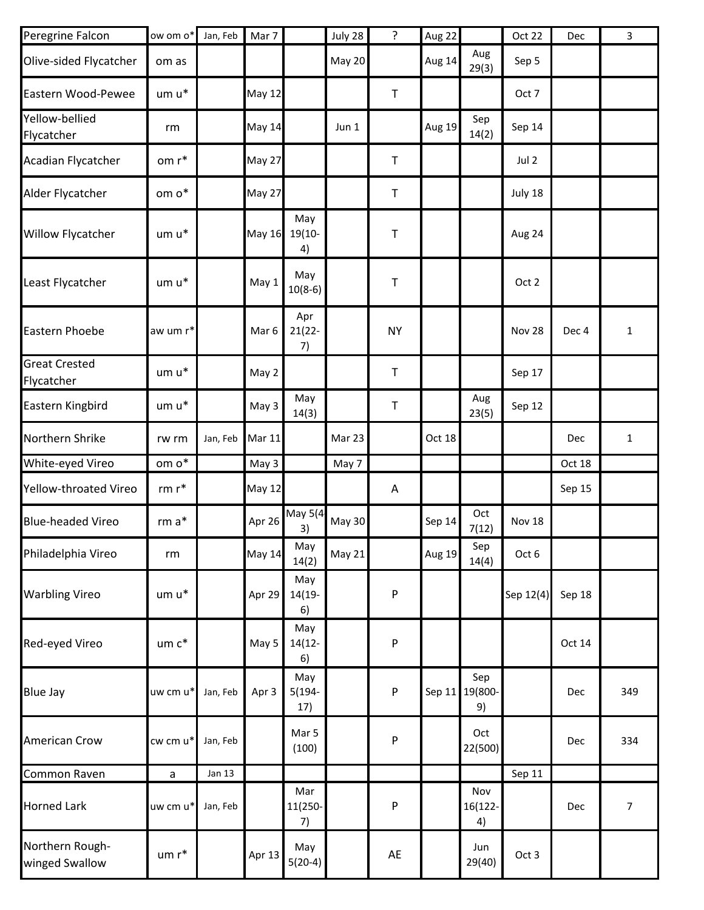| Peregrine Falcon                   | ow om o*          | Jan, Feb      | Mar 7            |                         | July 28       | $\tilde{.}$ | Aug 22        |                      | Oct 22        | Dec    | 3              |
|------------------------------------|-------------------|---------------|------------------|-------------------------|---------------|-------------|---------------|----------------------|---------------|--------|----------------|
| Olive-sided Flycatcher             | om as             |               |                  |                         | <b>May 20</b> |             | Aug 14        | Aug<br>29(3)         | Sep 5         |        |                |
| Eastern Wood-Pewee                 | um u*             |               | <b>May 12</b>    |                         |               | $\mathsf T$ |               |                      | Oct 7         |        |                |
| Yellow-bellied<br>Flycatcher       | rm                |               | May 14           |                         | Jun 1         |             | <b>Aug 19</b> | Sep<br>14(2)         | Sep 14        |        |                |
| Acadian Flycatcher                 | om r*             |               | <b>May 27</b>    |                         |               | $\sf T$     |               |                      | Jul 2         |        |                |
| Alder Flycatcher                   | om $\mathsf{o}^*$ |               | May 27           |                         |               | $\top$      |               |                      | July 18       |        |                |
| Willow Flycatcher                  | um u*             |               | <b>May 16</b>    | May<br>$19(10 -$<br>4)  |               | Τ           |               |                      | Aug 24        |        |                |
| Least Flycatcher                   | um u*             |               | May 1            | May<br>$10(8-6)$        |               | $\sf T$     |               |                      | Oct 2         |        |                |
| Eastern Phoebe                     | aw um r*          |               | Mar <sub>6</sub> | Apr<br>$21(22 -$<br>7)  |               | <b>NY</b>   |               |                      | Nov 28        | Dec 4  | $\mathbf 1$    |
| <b>Great Crested</b><br>Flycatcher | um u*             |               | May 2            |                         |               | $\mathsf T$ |               |                      | Sep 17        |        |                |
| Eastern Kingbird                   | $um u^*$          |               | May 3            | May<br>14(3)            |               | $\top$      |               | Aug<br>23(5)         | Sep 12        |        |                |
| Northern Shrike                    | rw rm             | Jan, Feb      | <b>Mar 11</b>    |                         | Mar 23        |             | Oct 18        |                      |               | Dec    | 1              |
| White-eyed Vireo                   | om $\mathsf{o}^*$ |               | May 3            |                         | May 7         |             |               |                      |               | Oct 18 |                |
| Yellow-throated Vireo              | $rm r*$           |               | <b>May 12</b>    |                         |               | Α           |               |                      |               | Sep 15 |                |
| <b>Blue-headed Vireo</b>           | $rm a*$           |               | Apr 26           | May 5(4<br>3)           | <b>May 30</b> |             | Sep 14        | Oct<br>7(12)         | <b>Nov 18</b> |        |                |
| Philadelphia Vireo                 | rm                |               | <b>May 14</b>    | May<br>14(2)            | May 21        |             | <b>Aug 19</b> | Sep<br>14(4)         | Oct 6         |        |                |
| <b>Warbling Vireo</b>              | um u*             |               | Apr 29           | May<br>$14(19 -$<br>6)  |               | P           |               |                      | Sep 12(4)     | Sep 18 |                |
| Red-eyed Vireo                     | um c*             |               | May 5            | May<br>$14(12 -$<br>6)  |               | P           |               |                      |               | Oct 14 |                |
| <b>Blue Jay</b>                    | uw cm u*          | Jan, Feb      | Apr 3            | May<br>$5(194 -$<br>17) |               | P           | Sep $11$      | Sep<br>19(800-<br>9) |               | Dec    | 349            |
| American Crow                      | cw cm u*          | Jan, Feb      |                  | Mar 5<br>(100)          |               | P           |               | Oct<br>22(500)       |               | Dec    | 334            |
| Common Raven                       | $\mathsf{a}$      | <b>Jan 13</b> |                  |                         |               |             |               |                      | Sep 11        |        |                |
| <b>Horned Lark</b>                 | uw cm u*          | Jan, Feb      |                  | Mar<br>11(250-<br>7)    |               | P           |               | Nov<br>16(122-<br>4) |               | Dec    | $\overline{7}$ |
| Northern Rough-<br>winged Swallow  | um r*             |               | Apr 13           | May<br>$5(20-4)$        |               | AE          |               | Jun<br>29(40)        | Oct 3         |        |                |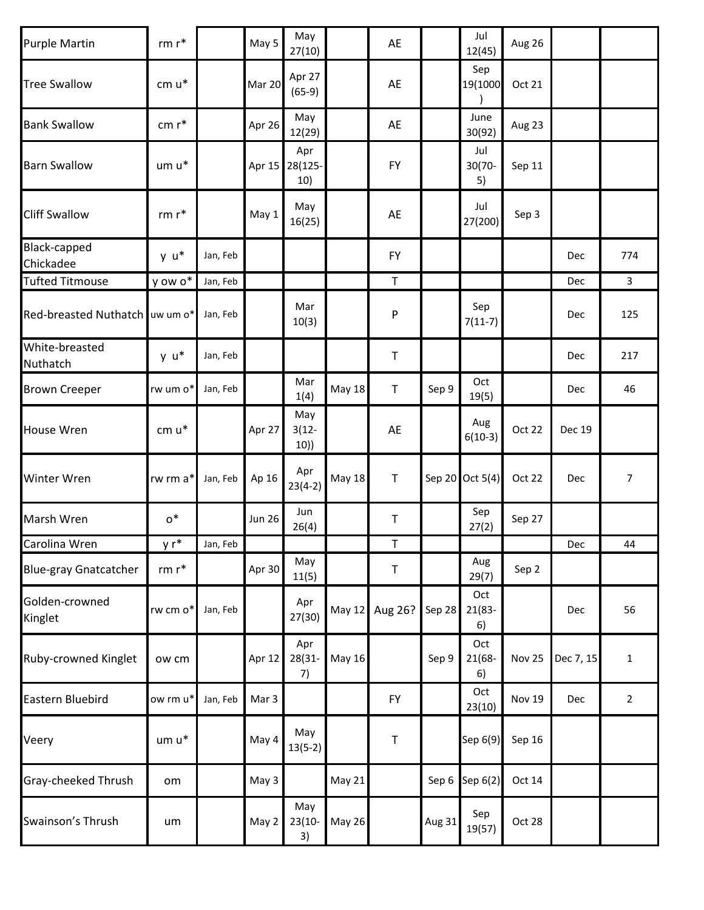| <b>Purple Martin</b>           | $rm r*$  |          | May 5         | May<br>27(10)                |               | AE           |        | Jul<br>12(45)          | Aug 26        |           |                |
|--------------------------------|----------|----------|---------------|------------------------------|---------------|--------------|--------|------------------------|---------------|-----------|----------------|
| <b>Tree Swallow</b>            | cm u*    |          | Mar 20        | Apr 27<br>$(65-9)$           |               | AE           |        | Sep<br>19(1000         | Oct 21        |           |                |
| <b>Bank Swallow</b>            | $cm r*$  |          | Apr 26        | May<br>12(29)                |               | AE           |        | June<br>30(92)         | Aug 23        |           |                |
| <b>Barn Swallow</b>            | $um u*$  |          |               | Apr<br>Apr 15 28(125-<br>10) |               | <b>FY</b>    |        | Jul<br>30(70-<br>5)    | Sep 11        |           |                |
| <b>Cliff Swallow</b>           | $rm r*$  |          | May 1         | May<br>16(25)                |               | AE           |        | Jul<br>27(200)         | Sep 3         |           |                |
| Black-capped<br>Chickadee      | $y u^*$  | Jan, Feb |               |                              |               | <b>FY</b>    |        |                        |               | Dec       | 774            |
| <b>Tufted Titmouse</b>         | y ow o*  | Jan, Feb |               |                              |               | $\mathsf T$  |        |                        |               | Dec       | $\mathsf{3}$   |
| Red-breasted Nuthatch uw um o* |          | Jan, Feb |               | Mar<br>10(3)                 |               | P            |        | Sep<br>$7(11-7)$       |               | Dec       | 125            |
| White-breasted<br>Nuthatch     | y u*     | Jan, Feb |               |                              |               | T            |        |                        |               | Dec       | 217            |
| <b>Brown Creeper</b>           | rw um o* | Jan, Feb |               | Mar<br>1(4)                  | <b>May 18</b> | $\mathsf T$  | Sep 9  | Oct<br>19(5)           |               | Dec       | 46             |
| <b>House Wren</b>              | cm u*    |          | Apr 27        | May<br>$3(12 -$<br>10)       |               | AE           |        | Aug<br>$6(10-3)$       | Oct 22        | Dec 19    |                |
| <b>Winter Wren</b>             | rw rm a* | Jan, Feb | Ap 16         | Apr<br>$23(4-2)$             | <b>May 18</b> | $\mathsf{T}$ |        | Sep 20 Oct 5(4)        | Oct 22        | Dec       | $\overline{7}$ |
| Marsh Wren                     | $o^*$    |          | <b>Jun 26</b> | Jun<br>26(4)                 |               | $\sf T$      |        | Sep<br>27(2)           | Sep 27        |           |                |
| Carolina Wren                  | y r*     | Jan, Feb |               |                              |               | $\mathsf T$  |        |                        |               | Dec       | 44             |
| <b>Blue-gray Gnatcatcher</b>   | $rm r*$  |          | Apr 30        | May<br>11(5)                 |               | T            |        | Aug<br>29(7)           | Sep 2         |           |                |
| Golden-crowned<br>Kinglet      | rw cm o* | Jan, Feb |               | Apr<br>27(30)                | May 12        | Aug 26?      | Sep 28 | Oct<br>$21(83 -$<br>6) |               | Dec       | 56             |
| <b>Ruby-crowned Kinglet</b>    | ow cm    |          | Apr 12        | Apr<br>28(31-<br>7)          | <b>May 16</b> |              | Sep 9  | Oct<br>21(68-<br>6)    | <b>Nov 25</b> | Dec 7, 15 | $\mathbf{1}$   |
| <b>Eastern Bluebird</b>        | ow rm u* | Jan, Feb | Mar 3         |                              |               | <b>FY</b>    |        | Oct<br>23(10)          | <b>Nov 19</b> | Dec       | $\overline{2}$ |
| Veery                          | um u*    |          | May 4         | May<br>$13(5-2)$             |               | $\sf T$      |        | Sep 6(9)               | Sep 16        |           |                |
| Gray-cheeked Thrush            | om       |          | May 3         |                              | May 21        |              | Sep 6  | Sep 6(2)               | Oct 14        |           |                |
| Swainson's Thrush              | um       |          | May 2         | May<br>$23(10 -$<br>3)       | <b>May 26</b> |              | Aug 31 | Sep<br>19(57)          | Oct 28        |           |                |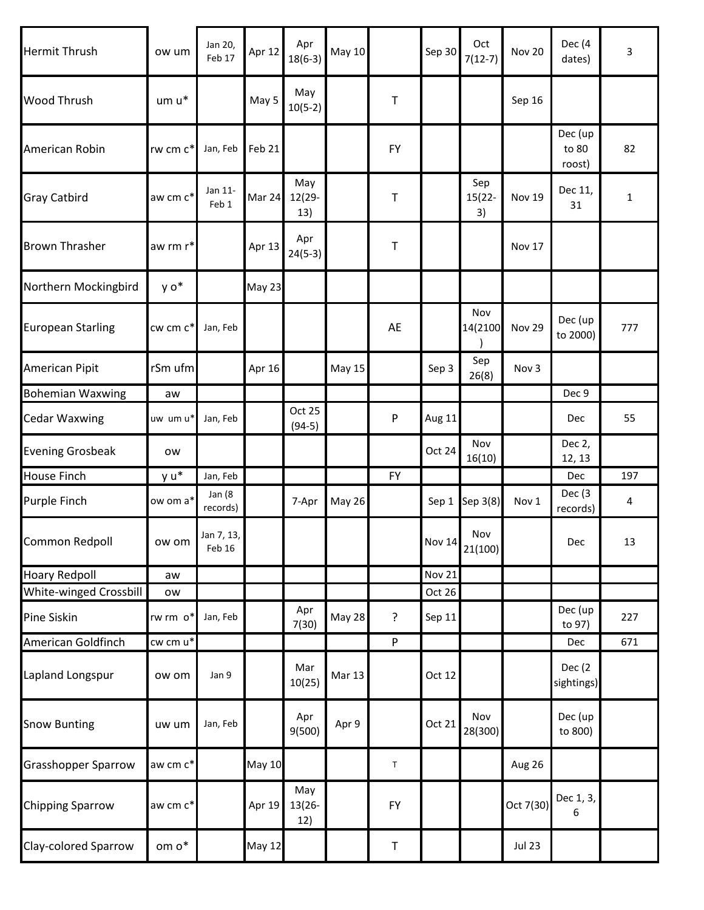| <b>Hermit Thrush</b>       | ow um         | Jan 20,<br>Feb 17    | Apr 12        | Apr<br>$18(6-3)$        | May 10        |             | Sep 30        | Oct<br>$7(12-7)$       | <b>Nov 20</b> | Dec (4<br>dates)           | 3            |
|----------------------------|---------------|----------------------|---------------|-------------------------|---------------|-------------|---------------|------------------------|---------------|----------------------------|--------------|
| <b>Wood Thrush</b>         | um u*         |                      | May 5         | May<br>$10(5-2)$        |               | T           |               |                        | Sep 16        |                            |              |
| American Robin             | rw cm c*      | Jan, Feb             | Feb 21        |                         |               | <b>FY</b>   |               |                        |               | Dec (up<br>to 80<br>roost) | 82           |
| <b>Gray Catbird</b>        | aw cm c*      | Jan 11-<br>Feb 1     | Mar 24        | May<br>12(29-<br>13)    |               | Τ           |               | Sep<br>$15(22 -$<br>3) | <b>Nov 19</b> | Dec 11,<br>31              | $\mathbf{1}$ |
| <b>Brown Thrasher</b>      | aw rm r*      |                      | Apr 13        | Apr<br>$24(5-3)$        |               | Τ           |               |                        | Nov 17        |                            |              |
| Northern Mockingbird       | y o*          |                      | May 23        |                         |               |             |               |                        |               |                            |              |
| <b>European Starling</b>   | $cw$ cm $c^*$ | Jan, Feb             |               |                         |               | AE          |               | Nov<br>14(2100         | Nov 29        | Dec (up<br>to 2000)        | 777          |
| American Pipit             | rSm ufm       |                      | Apr 16        |                         | May 15        |             | Sep 3         | Sep<br>26(8)           | Nov 3         |                            |              |
| <b>Bohemian Waxwing</b>    | aw            |                      |               |                         |               |             |               |                        |               | Dec 9                      |              |
| <b>Cedar Waxwing</b>       | uw um u*      | Jan, Feb             |               | Oct 25<br>$(94-5)$      |               | P           | Aug 11        |                        |               | Dec                        | 55           |
| <b>Evening Grosbeak</b>    | ow            |                      |               |                         |               |             | Oct 24        | Nov<br>16(10)          |               | Dec 2,<br>12, 13           |              |
| <b>House Finch</b>         | y u*          | Jan, Feb             |               |                         |               | <b>FY</b>   |               |                        |               | Dec                        | 197          |
| Purple Finch               | ow om a*      | Jan (8<br>records)   |               | 7-Apr                   | May 26        |             | Sep 1         | Sep 3(8)               | Nov 1         | Dec (3<br>records)         | 4            |
| Common Redpoll             | ow om         | Jan 7, 13,<br>Feb 16 |               |                         |               |             | <b>Nov 14</b> | Nov<br>21(100)         |               | Dec                        | 13           |
| <b>Hoary Redpoll</b>       | aw            |                      |               |                         |               |             | <b>Nov 21</b> |                        |               |                            |              |
| White-winged Crossbill     | ow            |                      |               |                         |               |             | Oct 26        |                        |               |                            |              |
| <b>Pine Siskin</b>         | rw rm o*      | Jan, Feb             |               | Apr<br>7(30)            | <b>May 28</b> | ?           | Sep 11        |                        |               | Dec (up<br>to 97)          | 227          |
| American Goldfinch         | cw cm u*      |                      |               |                         |               | P           |               |                        |               | Dec                        | 671          |
| Lapland Longspur           | ow om         | Jan 9                |               | Mar<br>10(25)           | <b>Mar 13</b> |             | Oct 12        |                        |               | Dec (2<br>sightings)       |              |
| <b>Snow Bunting</b>        | uw um         | Jan, Feb             |               | Apr<br>9(500)           | Apr 9         |             | Oct 21        | Nov<br>28(300)         |               | Dec (up<br>to 800)         |              |
| <b>Grasshopper Sparrow</b> | aw cm c*      |                      | <b>May 10</b> |                         |               | $\mathsf T$ |               |                        | Aug 26        |                            |              |
| <b>Chipping Sparrow</b>    | aw cm c*      |                      | Apr 19        | May<br>$13(26 -$<br>12) |               | <b>FY</b>   |               |                        | Oct 7(30)     | Dec 1, 3,<br>6             |              |
| Clay-colored Sparrow       | om o*         |                      | <b>May 12</b> |                         |               | $\sf T$     |               |                        | <b>Jul 23</b> |                            |              |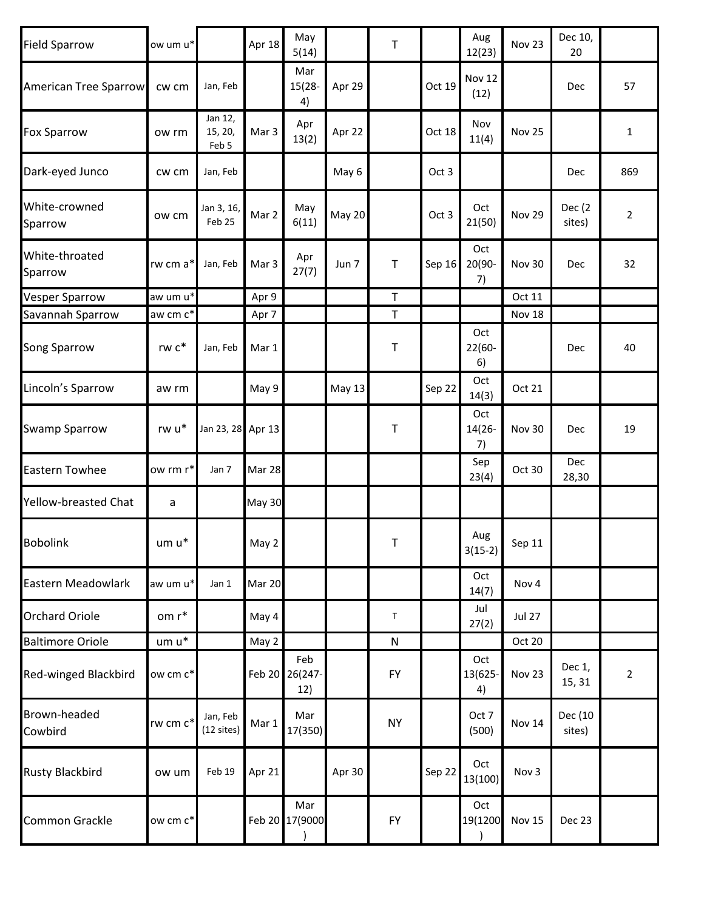| <b>Field Sparrow</b>         | ow um u* |                             | Apr 18        | May<br>5(14)                 |               | $\top$      |        | Aug<br>12(23)        | Nov 23        | Dec 10,<br>20     |                |
|------------------------------|----------|-----------------------------|---------------|------------------------------|---------------|-------------|--------|----------------------|---------------|-------------------|----------------|
| <b>American Tree Sparrow</b> | cw cm    | Jan, Feb                    |               | Mar<br>$15(28 -$<br>4)       | Apr 29        |             | Oct 19 | Nov 12<br>(12)       |               | Dec               | 57             |
| <b>Fox Sparrow</b>           | ow rm    | Jan 12,<br>15, 20,<br>Feb 5 | Mar 3         | Apr<br>13(2)                 | Apr 22        |             | Oct 18 | Nov<br>11(4)         | Nov 25        |                   | 1              |
| Dark-eyed Junco              | cw cm    | Jan, Feb                    |               |                              | May 6         |             | Oct 3  |                      |               | Dec               | 869            |
| White-crowned<br>Sparrow     | ow cm    | Jan 3, 16,<br>Feb 25        | Mar 2         | May<br>6(11)                 | May 20        |             | Oct 3  | Oct<br>21(50)        | Nov 29        | Dec (2)<br>sites) | $\overline{2}$ |
| White-throated<br>Sparrow    | rw cm a* | Jan, Feb                    | Mar 3         | Apr<br>27(7)                 | Jun 7         | Τ           | Sep 16 | Oct<br>20(90-<br>7)  | Nov 30        | Dec               | 32             |
| <b>Vesper Sparrow</b>        | aw um u* |                             | Apr 9         |                              |               | $\sf T$     |        |                      | Oct 11        |                   |                |
| Savannah Sparrow             | aw cm c* |                             | Apr 7         |                              |               | $\mathsf T$ |        |                      | Nov 18        |                   |                |
| <b>Song Sparrow</b>          | rw c*    | Jan, Feb                    | Mar 1         |                              |               | $\top$      |        | Oct<br>22(60-<br>6)  |               | Dec               | 40             |
| Lincoln's Sparrow            | aw rm    |                             | May 9         |                              | <b>May 13</b> |             | Sep 22 | Oct<br>14(3)         | Oct 21        |                   |                |
| <b>Swamp Sparrow</b>         | rw u*    | Jan 23, 28 Apr 13           |               |                              |               | $\mathsf T$ |        | Oct<br>14(26-<br>7)  | Nov 30        | Dec               | 19             |
| <b>Eastern Towhee</b>        | ow rm r* | Jan 7                       | Mar 28        |                              |               |             |        | Sep<br>23(4)         | Oct 30        | Dec<br>28,30      |                |
| <b>Yellow-breasted Chat</b>  | a        |                             | <b>May 30</b> |                              |               |             |        |                      |               |                   |                |
| <b>Bobolink</b>              | $um u*$  |                             | May 2         |                              |               | T.          |        | Aug<br>$3(15-2)$     | Sep 11        |                   |                |
| Eastern Meadowlark           | aw um u* | Jan 1                       | Mar 20        |                              |               |             |        | Oct<br>14(7)         | Nov 4         |                   |                |
| <b>Orchard Oriole</b>        | om r*    |                             | May 4         |                              |               | T           |        | Jul<br>27(2)         | <b>Jul 27</b> |                   |                |
| <b>Baltimore Oriole</b>      | um u*    |                             | May 2         |                              |               | ${\sf N}$   |        |                      | Oct 20        |                   |                |
| <b>Red-winged Blackbird</b>  | ow cm c* |                             |               | Feb<br>Feb 20 26(247-<br>12) |               | <b>FY</b>   |        | Oct<br>13(625-<br>4) | Nov 23        | Dec 1,<br>15, 31  | $\overline{2}$ |
| Brown-headed<br>Cowbird      | rw cm c* | Jan, Feb<br>$(12$ sites)    | Mar 1         | Mar<br>17(350)               |               | <b>NY</b>   |        | Oct 7<br>(500)       | <b>Nov 14</b> | Dec (10<br>sites) |                |
| <b>Rusty Blackbird</b>       | ow um    | Feb 19                      | Apr 21        |                              | Apr 30        |             | Sep 22 | Oct<br>13(100)       | Nov 3         |                   |                |
| <b>Common Grackle</b>        | ow cm c* |                             |               | Mar<br>Feb 20 17(9000        |               | <b>FY</b>   |        | Oct<br>19(1200       | Nov 15        | Dec 23            |                |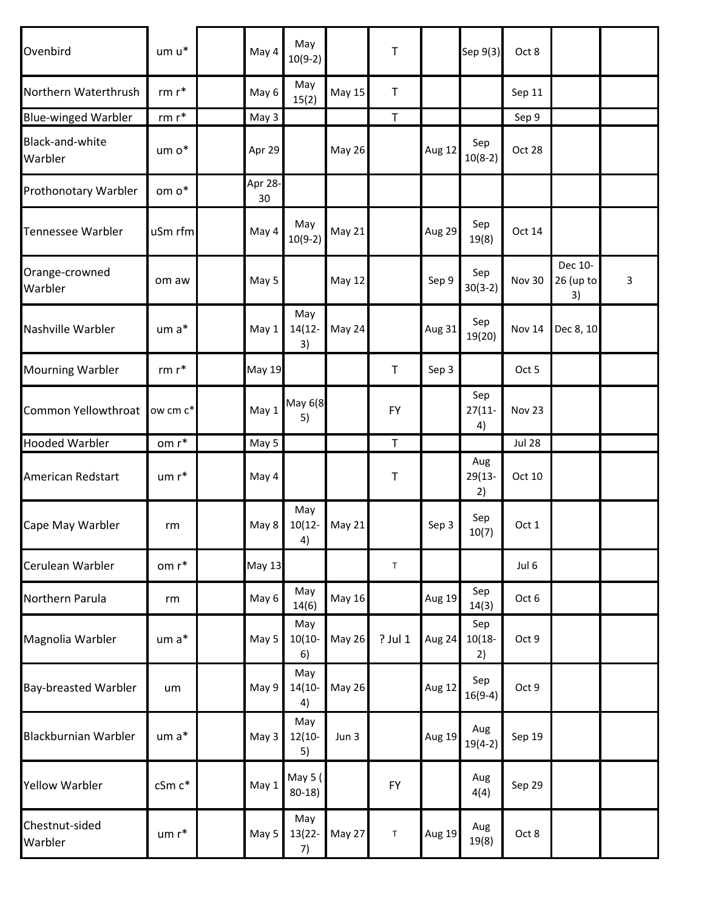| Ovenbird                    | $um u*$           | May 4         | May<br>$10(9-2)$       |               | Τ           |               | Sep 9(3)               | Oct 8         |                            |   |
|-----------------------------|-------------------|---------------|------------------------|---------------|-------------|---------------|------------------------|---------------|----------------------------|---|
| Northern Waterthrush        | $rm r*$           | May 6         | May<br>15(2)           | <b>May 15</b> | $\sf T$     |               |                        | Sep 11        |                            |   |
| <b>Blue-winged Warbler</b>  | $rm r*$           | May 3         |                        |               | $\mathsf T$ |               |                        | Sep 9         |                            |   |
| Black-and-white<br>Warbler  | um o*             | Apr 29        |                        | <b>May 26</b> |             | Aug 12        | Sep<br>$10(8-2)$       | Oct 28        |                            |   |
| <b>Prothonotary Warbler</b> | om $\mathsf{o}^*$ | Apr 28-<br>30 |                        |               |             |               |                        |               |                            |   |
| <b>Tennessee Warbler</b>    | uSm rfm           | May 4         | May<br>$10(9-2)$       | May 21        |             | Aug 29        | Sep<br>19(8)           | Oct 14        |                            |   |
| Orange-crowned<br>Warbler   | om aw             | May 5         |                        | <b>May 12</b> |             | Sep 9         | Sep<br>$30(3-2)$       | Nov 30        | Dec 10-<br>26 (up to<br>3) | 3 |
| Nashville Warbler           | $um a*$           | May 1         | May<br>$14(12 -$<br>3) | May 24        |             | Aug 31        | Sep<br>19(20)          | Nov 14        | Dec 8, 10                  |   |
| <b>Mourning Warbler</b>     | rm $\mathsf{r}^*$ | <b>May 19</b> |                        |               | $\sf T$     | Sep 3         |                        | Oct 5         |                            |   |
| Common Yellowthroat         | ow cm c*          | May 1         | May 6(8<br>5)          |               | <b>FY</b>   |               | Sep<br>$27(11 -$<br>4) | Nov 23        |                            |   |
| <b>Hooded Warbler</b>       | om $\mathsf{r}^*$ | May 5         |                        |               | $\mathsf T$ |               |                        | <b>Jul 28</b> |                            |   |
| American Redstart           | $um r*$           | May 4         |                        |               | $\sf T$     |               | Aug<br>29(13-<br>2)    | Oct 10        |                            |   |
| Cape May Warbler            | rm                | May 8         | May<br>$10(12 -$<br>4) | May 21        |             | Sep 3         | Sep<br>10(7)           | Oct 1         |                            |   |
| Cerulean Warbler            | om r*             | <b>May 13</b> |                        |               | $\mathsf T$ |               |                        | Jul 6         |                            |   |
| Northern Parula             | rm                | May 6         | May<br>14(6)           | <b>May 16</b> |             | <b>Aug 19</b> | Sep<br>14(3)           | Oct 6         |                            |   |
| Magnolia Warbler            | um a*             | May 5         | May<br>$10(10 -$<br>6) | <b>May 26</b> | ? Jul 1     | Aug 24        | Sep<br>$10(18 -$<br>2) | Oct 9         |                            |   |
| <b>Bay-breasted Warbler</b> | um                | May 9         | May<br>$14(10 -$<br>4) | <b>May 26</b> |             | Aug 12        | Sep<br>$16(9-4)$       | Oct 9         |                            |   |
| <b>Blackburnian Warbler</b> | um a*             | May 3         | May<br>$12(10 -$<br>5) | Jun 3         |             | Aug 19        | Aug<br>$19(4-2)$       | Sep 19        |                            |   |
| <b>Yellow Warbler</b>       | cSm c*            | May 1         | May 5 (<br>$80-18$     |               | FY          |               | Aug<br>4(4)            | Sep 29        |                            |   |
| Chestnut-sided<br>Warbler   | $um r*$           | May 5         | May<br>13(22-<br>7)    | May 27        | T           | Aug 19        | Aug<br>19(8)           | Oct 8         |                            |   |